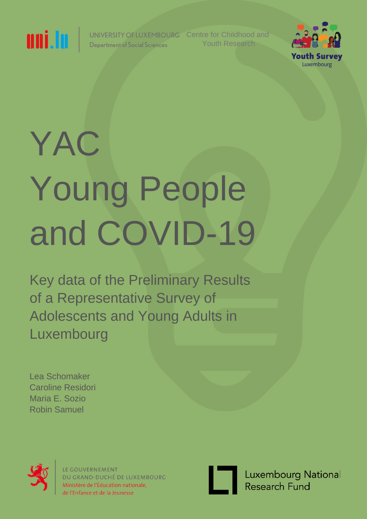

UNIVERSITY OF LUXEMBOURG **Department of Social Sciences** 

Centre for Childhood and Youth Research



# YAC Young People and COVID-19

Key data of the Preliminary Results of a Representative Survey of Adolescents and Young Adults in Luxembourg

Lea Schomaker Caroline Residori Maria E. Sozio Robin Samuel



LE GOUVERNEMENT DU GRAND-DUCHÉ DE LUXEMBOURG Ministère de l'Éducation nationale, de l'Enfance et de la Jeunesse



Luxembourg National Research Fund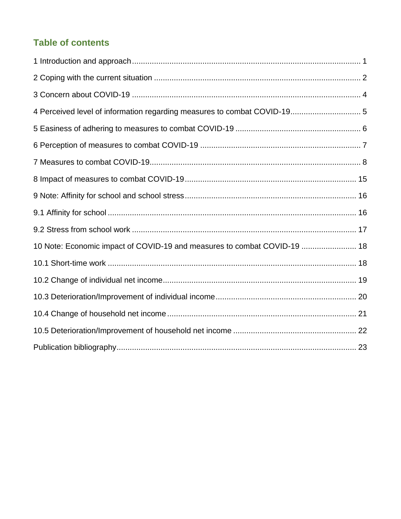# **Table of contents**

| 10 Note: Economic impact of COVID-19 and measures to combat COVID-19  18 |
|--------------------------------------------------------------------------|
|                                                                          |
|                                                                          |
|                                                                          |
|                                                                          |
|                                                                          |
|                                                                          |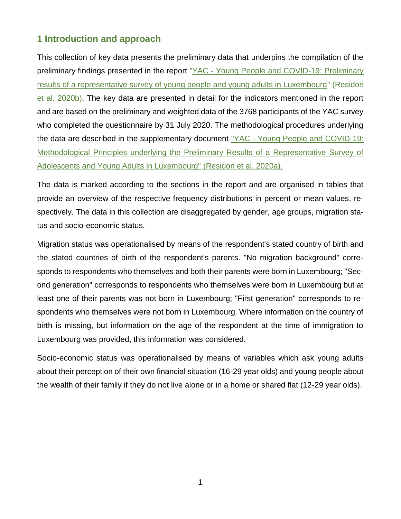# <span id="page-2-0"></span>**1 Introduction and approach**

This collection of key data presents the preliminary data that underpins the compilation of the preliminary findings presented in the report "YAC - [Young People and COVID-19: Preliminary](https://www.jugend-in-luxemburg.lu/wp-content/uploads/pdfdb/EN_YAC_Preliminary-Results.pdf)  [results of a representative survey of young people and young adults in Luxembourg"](https://www.jugend-in-luxemburg.lu/wp-content/uploads/pdfdb/EN_YAC_Preliminary-Results.pdf) (Residori et al. 2020b). The key data are presented in detail for the indicators mentioned in the report and are based on the preliminary and weighted data of the 3768 participants of the YAC survey who completed the questionnaire by 31 July 2020. The methodological procedures underlying the data are described in the supplementary document "YAC - [Young People and COVID-19:](https://www.jugend-in-luxemburg.lu/wp-content/uploads/pdfdb/EN_YAC_Methodological-Note.pdf) [Methodological Principles underlying the Preliminary Results of a Representative Survey of](https://www.jugend-in-luxemburg.lu/wp-content/uploads/pdfdb/EN_YAC_Methodological-Note.pdf)  [Adolescents and Young Adults in Luxembourg"](https://www.jugend-in-luxemburg.lu/wp-content/uploads/pdfdb/EN_YAC_Methodological-Note.pdf) (Residori et al. 2020a).

The data is marked according to the sections in the report and are organised in tables that provide an overview of the respective frequency distributions in percent or mean values, respectively. The data in this collection are disaggregated by gender, age groups, migration status and socio-economic status.

Migration status was operationalised by means of the respondent's stated country of birth and the stated countries of birth of the respondent's parents. "No migration background" corresponds to respondents who themselves and both their parents were born in Luxembourg; "Second generation" corresponds to respondents who themselves were born in Luxembourg but at least one of their parents was not born in Luxembourg; "First generation" corresponds to respondents who themselves were not born in Luxembourg. Where information on the country of birth is missing, but information on the age of the respondent at the time of immigration to Luxembourg was provided, this information was considered.

Socio-economic status was operationalised by means of variables which ask young adults about their perception of their own financial situation (16-29 year olds) and young people about the wealth of their family if they do not live alone or in a home or shared flat (12-29 year olds).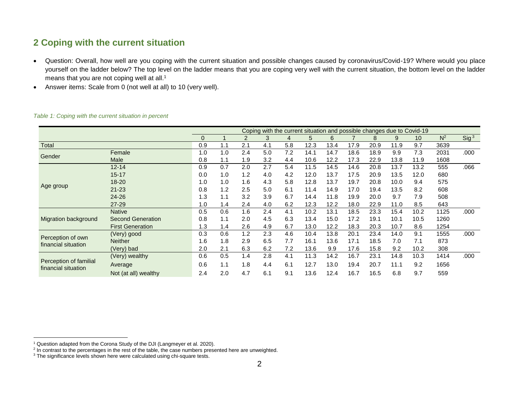# **2 Coping with the current situation**

- Question: Overall, how well are you coping with the current situation and possible changes caused by coronavirus/Covid-19? Where would you place yourself on the ladder below? The top level on the ladder means that you are coping very well with the current situation, the bottom level on the ladder means that you are not coping well at all.<sup>1</sup>
- Answer items: Scale from 0 (not well at all) to 10 (very well).

<span id="page-3-0"></span>

|                                               |                          |          |     |     |     |     |      |      |      |      |      | Coping with the current situation and possible changes due to Covid-19 |       |                  |
|-----------------------------------------------|--------------------------|----------|-----|-----|-----|-----|------|------|------|------|------|------------------------------------------------------------------------|-------|------------------|
|                                               |                          | $\Omega$ |     | 2   | 3   | 4   | 5    | 6    |      | 8    | 9    | 10                                                                     | $N^2$ | Sig <sup>3</sup> |
| Total                                         |                          | 0.9      | 1.1 | 2.1 | 4.1 | 5.8 | 12.3 | 13.4 | 17.9 | 20.9 | 11.9 | 9.7                                                                    | 3639  |                  |
| Gender                                        | Female                   | 1.0      | 1.0 | 2.4 | 5.0 | 7.2 | 14.1 | 14.7 | 18.6 | 18.9 | 9.9  | 7.3                                                                    | 2031  | .000             |
|                                               | Male                     | 0.8      | 1.1 | 1.9 | 3.2 | 4.4 | 10.6 | 12.2 | 17.3 | 22.9 | 13.8 | 11.9                                                                   | 1608  |                  |
|                                               | $12 - 14$                | 0.9      | 0.7 | 2.0 | 2.7 | 5.4 | 11.5 | 14.5 | 14.6 | 20.8 | 13.7 | 13.2                                                                   | 555   | .066             |
|                                               | $15 - 17$                | 0.0      | 1.0 | 1.2 | 4.0 | 4.2 | 12.0 | 13.7 | 17.5 | 20.9 | 13.5 | 12.0                                                                   | 680   |                  |
|                                               | 18-20                    | 1.0      | 1.0 | 1.6 | 4.3 | 5.8 | 12.8 | 13.7 | 19.7 | 20.8 | 10.0 | 9.4                                                                    | 575   |                  |
| Age group                                     | $21 - 23$                | 0.8      | 1.2 | 2.5 | 5.0 | 6.1 | 11.4 | 14.9 | 17.0 | 19.4 | 13.5 | 8.2                                                                    | 608   |                  |
|                                               | 24-26                    | 1.3      | 1.1 | 3.2 | 3.9 | 6.7 | 14.4 | 11.8 | 19.9 | 20.0 | 9.7  | 7.9                                                                    | 508   |                  |
|                                               | 27-29                    | 1.0      | 1.4 | 2.4 | 4.0 | 6.2 | 12.3 | 12.2 | 18.0 | 22.9 | 11.0 | 8.5                                                                    | 643   |                  |
|                                               | <b>Native</b>            | 0.5      | 0.6 | 1.6 | 2.4 | 4.1 | 10.2 | 13.1 | 18.5 | 23.3 | 15.4 | 10.2                                                                   | 1125  | .000             |
| Migration background                          | <b>Second Generation</b> | 0.8      | 1.1 | 2.0 | 4.5 | 6.3 | 13.4 | 15.0 | 17.2 | 19.1 | 10.1 | 10.5                                                                   | 1260  |                  |
|                                               | <b>First Generation</b>  | 1.3      | 1.4 | 2.6 | 4.9 | 6.7 | 13.0 | 12.2 | 18.3 | 20.3 | 10.7 | 8.6                                                                    | 1254  |                  |
|                                               | (Very) good              | 0.3      | 0.6 | 1.2 | 2.3 | 4.6 | 10.4 | 13.8 | 20.1 | 23.4 | 14.0 | 9.1                                                                    | 1555  | .000             |
| Perception of own<br>financial situation      | <b>Neither</b>           | 1.6      | 1.8 | 2.9 | 6.5 | 7.7 | 16.1 | 13.6 | 17.1 | 18.5 | 7.0  | 7.1                                                                    | 873   |                  |
|                                               | (Very) bad               | 2.0      | 2.1 | 6.3 | 6.2 | 7.2 | 13.6 | 9.9  | 17.6 | 15.8 | 9.2  | 10.2                                                                   | 308   |                  |
|                                               | (Very) wealthy           | 0.6      | 0.5 | 1.4 | 2.8 | 4.1 | 11.3 | 14.2 | 16.7 | 23.1 | 14.8 | 10.3                                                                   | 1414  | .000             |
| Perception of familial<br>financial situation | Average                  | 0.6      | 1.1 | 1.8 | 4.4 | 6.1 | 12.7 | 13.0 | 19.4 | 20.7 | 11.1 | 9.2                                                                    | 1656  |                  |
|                                               | Not (at all) wealthy     | 2.4      | 2.0 | 4.7 | 6.1 | 9.1 | 13.6 | 12.4 | 16.7 | 16.5 | 6.8  | 9.7                                                                    | 559   |                  |

#### *Table 1: Coping with the current situation in percent*

<sup>&</sup>lt;sup>1</sup> Question adapted from the Corona Study of the DJI (Langmeyer et al. 2020).<br><sup>2</sup> In contrast to the percentages in the rest of the table, the case numbers presented here are unweighted.

 $3$  The significance levels shown here were calculated using chi-square tests.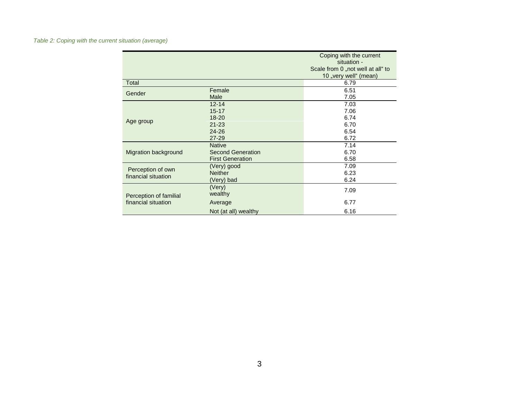|                                          |                          | Coping with the current<br>situation -                     |
|------------------------------------------|--------------------------|------------------------------------------------------------|
|                                          |                          | Scale from 0 "not well at all" to<br>10 "very well" (mean) |
| Total                                    |                          | 6.79                                                       |
| Gender                                   | Female                   | 6.51                                                       |
|                                          | Male                     | 7.05                                                       |
|                                          | $12 - 14$                | 7.03                                                       |
|                                          | $15 - 17$                | 7.06                                                       |
|                                          | $18 - 20$                | 6.74                                                       |
| Age group                                | $21 - 23$                | 6.70                                                       |
|                                          | $24 - 26$                | 6.54                                                       |
|                                          | 27-29                    | 6.72                                                       |
|                                          | <b>Native</b>            | 7.14                                                       |
| Migration background                     | <b>Second Generation</b> | 6.70                                                       |
|                                          | <b>First Generation</b>  | 6.58                                                       |
|                                          | (Very) good              | 7.09                                                       |
| Perception of own<br>financial situation | <b>Neither</b>           | 6.23                                                       |
|                                          | (Very) bad               | 6.24                                                       |
|                                          | (Very)                   | 7.09                                                       |
| Perception of familial                   | wealthy                  |                                                            |
| financial situation                      | Average                  | 6.77                                                       |
|                                          | Not (at all) wealthy     | 6.16                                                       |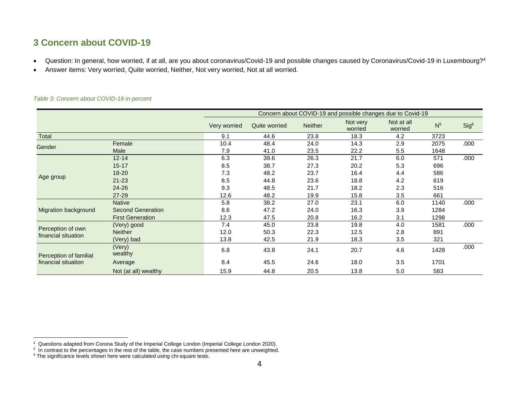# **3 Concern about COVID-19**

- Question: In general, how worried, if at all, are you about coronavirus/Covid-19 and possible changes caused by Coronavirus/Covid-19 in Luxembourg?<sup>4</sup>
- Answer items: Very worried, Quite worried, Neither, Not very worried, Not at all worried.

<span id="page-5-0"></span>

|                                          |                          |              |               |                | Concern about COVID-19 and possible changes due to Covid-19 |                       |                |                  |
|------------------------------------------|--------------------------|--------------|---------------|----------------|-------------------------------------------------------------|-----------------------|----------------|------------------|
|                                          |                          | Very worried | Quite worried | <b>Neither</b> | Not very<br>worried                                         | Not at all<br>worried | N <sup>5</sup> | Sig <sup>6</sup> |
| <b>Total</b>                             |                          | 9.1          | 44.6          | 23.8           | 18.3                                                        | 4.2                   | 3723           |                  |
| Gender                                   | Female                   | 10.4         | 48.4          | 24.0           | 14.3                                                        | 2.9                   | 2075           | .000             |
|                                          | Male                     | 7.9          | 41.0          | 23.5           | 22.2                                                        | 5.5                   | 1648           |                  |
|                                          | $12 - 14$                | 6.3          | 39.6          | 26.3           | 21.7                                                        | 6.0                   | 571            | .000             |
|                                          | $15 - 17$                | 8.5          | 38.7          | 27.3           | 20.2                                                        | 5.3                   | 696            |                  |
|                                          | $18 - 20$                | 7.3          | 48.2          | 23.7           | 16.4                                                        | 4.4                   | 586            |                  |
| Age group                                | $21 - 23$                | 8.5          | 44.8          | 23.6           | 18.8                                                        | 4.2                   | 619            |                  |
|                                          | $24 - 26$                | 9.3          | 48.5          | 21.7           | 18.2                                                        | 2.3                   | 516            |                  |
|                                          | 27-29                    | 12.6         | 48.2          | 19.9           | 15.8                                                        | 3.5                   | 661            |                  |
|                                          | <b>Native</b>            | 5.8          | 38.2          | 27.0           | 23.1                                                        | 6.0                   | 1140           | .000             |
| Migration background                     | <b>Second Generation</b> | 8.6          | 47.2          | 24.0           | 16.3                                                        | 3.9                   | 1284           |                  |
|                                          | <b>First Generation</b>  | 12.3         | 47.5          | 20.8           | 16.2                                                        | 3.1                   | 1298           |                  |
|                                          | (Very) good              | 7.4          | 45.0          | 23.8           | 19.8                                                        | 4.0                   | 1581           | .000             |
| Perception of own<br>financial situation | <b>Neither</b>           | 12.0         | 50.3          | 22.3           | 12.5                                                        | 2.8                   | 891            |                  |
|                                          | (Very) bad               | 13.8         | 42.5          | 21.9           | 18.3                                                        | 3.5                   | 321            |                  |
| Perception of familial                   | (Very)<br>wealthy        | 6.8          | 43.8          | 24.1           | 20.7                                                        | 4.6                   | 1428           | .000             |
| financial situation                      | Average                  | 8.4          | 45.5          | 24.6           | 18.0                                                        | 3.5                   | 1701           |                  |
|                                          | Not (at all) wealthy     | 15.9         | 44.8          | 20.5           | 13.8                                                        | 5.0                   | 583            |                  |

#### *Table 3: Concern about COVID-19 in percent*

<sup>&</sup>lt;sup>4</sup> Questions adapted from Corona Study of the Imperial College London (Imperial College London 2020).<br><sup>5</sup> In contrast to the percentages in the rest of the table, the case numbers presented here are unweighted.

 $6$  The significance levels shown here were calculated using chi-square tests.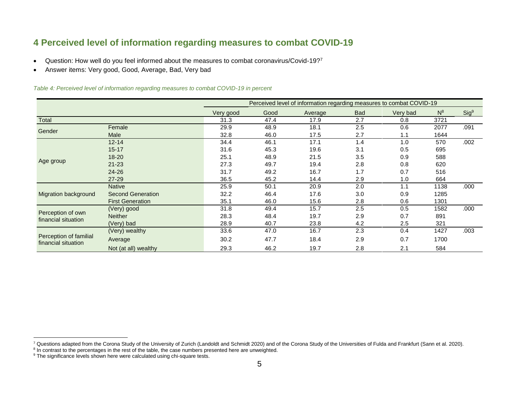# **4 Perceived level of information regarding measures to combat COVID-19**

- Question: How well do you feel informed about the measures to combat coronavirus/Covid-19?7
- Answer items: Very good, Good, Average, Bad, Very bad

#### *Table 4: Perceived level of information regarding measures to combat COVID-19 in percent*

<span id="page-6-0"></span>

|                                               |                          |           |      | Perceived level of information regarding measures to combat COVID-19 |            |          |       |                  |
|-----------------------------------------------|--------------------------|-----------|------|----------------------------------------------------------------------|------------|----------|-------|------------------|
|                                               |                          | Very good | Good | Average                                                              | <b>Bad</b> | Very bad | $N^8$ | Sig <sup>9</sup> |
| Total                                         |                          | 31.3      | 47.4 | 17.9                                                                 | 2.7        | 0.8      | 3721  |                  |
|                                               | Female                   | 29.9      | 48.9 | 18.1                                                                 | 2.5        | 0.6      | 2077  | .091             |
| Gender                                        | Male                     | 32.8      | 46.0 | 17.5                                                                 | 2.7        | 1.1      | 1644  |                  |
|                                               | $12 - 14$                | 34.4      | 46.1 | 17.1                                                                 | 1.4        | 1.0      | 570   | .002             |
|                                               | $15 - 17$                | 31.6      | 45.3 | 19.6                                                                 | 3.1        | 0.5      | 695   |                  |
|                                               | $18 - 20$                | 25.1      | 48.9 | 21.5                                                                 | 3.5        | 0.9      | 588   |                  |
| Age group                                     | $21 - 23$                | 27.3      | 49.7 | 19.4                                                                 | 2.8        | 0.8      | 620   |                  |
|                                               | $24 - 26$                | 31.7      | 49.2 | 16.7                                                                 | 1.7        | 0.7      | 516   |                  |
|                                               | 27-29                    | 36.5      | 45.2 | 14.4                                                                 | 2.9        | 1.0      | 664   |                  |
|                                               | <b>Native</b>            | 25.9      | 50.1 | 20.9                                                                 | 2.0        | 1.1      | 1138  | .000             |
| Migration background                          | <b>Second Generation</b> | 32.2      | 46.4 | 17.6                                                                 | 3.0        | 0.9      | 1285  |                  |
|                                               | <b>First Generation</b>  | 35.1      | 46.0 | 15.6                                                                 | 2.8        | 0.6      | 1301  |                  |
|                                               | (Very) good              | 31.8      | 49.4 | 15.7                                                                 | 2.5        | 0.5      | 1582  | .000             |
| Perception of own<br>financial situation      | Neither                  | 28.3      | 48.4 | 19.7                                                                 | 2.9        | 0.7      | 891   |                  |
|                                               | (Very) bad               | 28.9      | 40.7 | 23.8                                                                 | 4.2        | 2.5      | 321   |                  |
|                                               | (Very) wealthy           | 33.6      | 47.0 | 16.7                                                                 | 2.3        | 0.4      | 1427  | .003             |
| Perception of familial<br>financial situation | Average                  | 30.2      | 47.7 | 18.4                                                                 | 2.9        | 0.7      | 1700  |                  |
|                                               | Not (at all) wealthy     | 29.3      | 46.2 | 19.7                                                                 | 2.8        | 2.1      | 584   |                  |

<sup>&</sup>lt;sup>7</sup> Questions adapted from the Corona Study of the University of Zurich (Landoldt and Schmidt 2020) and of the Corona Study of the Universities of Fulda and Frankfurt (Sann et al. 2020).<br><sup>8</sup> In contrast to the percentages

<sup>&</sup>lt;sup>9</sup> The significance levels shown here were calculated using chi-square tests.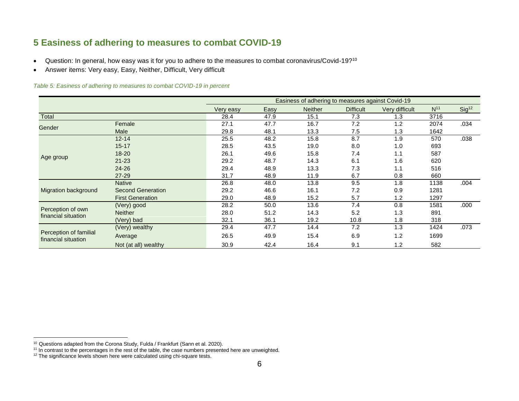# **5 Easiness of adhering to measures to combat COVID-19**

- Question: In general, how easy was it for you to adhere to the measures to combat coronavirus/Covid-19?<sup>10</sup>
- Answer items: Very easy, Easy, Neither, Difficult, Very difficult

*Table 5: Easiness of adhering to measures to combat COVID-19 in percent*

<span id="page-7-0"></span>

|                                               |                          |           |      | Easiness of adhering to measures against Covid-19 |                  |                |                 |                   |
|-----------------------------------------------|--------------------------|-----------|------|---------------------------------------------------|------------------|----------------|-----------------|-------------------|
|                                               |                          | Very easy | Easy | <b>Neither</b>                                    | <b>Difficult</b> | Very difficult | N <sup>11</sup> | Sig <sup>12</sup> |
| Total                                         |                          | 28.4      | 47.9 | 15.1                                              | 7.3              | 1.3            | 3716            |                   |
| Gender                                        | Female                   | 27.1      | 47.7 | 16.7                                              | 7.2              | 1.2            | 2074            | .034              |
|                                               | Male                     | 29.8      | 48.1 | 13.3                                              | 7.5              | 1.3            | 1642            |                   |
|                                               | $12 - 14$                | 25.5      | 48.2 | 15.8                                              | 8.7              | 1.9            | 570             | .038              |
|                                               | $15 - 17$                | 28.5      | 43.5 | 19.0                                              | 8.0              | 1.0            | 693             |                   |
|                                               | $18 - 20$                | 26.1      | 49.6 | 15.8                                              | 7.4              | 1.1            | 587             |                   |
| Age group                                     | $21 - 23$                | 29.2      | 48.7 | 14.3                                              | 6.1              | 1.6            | 620             |                   |
|                                               | $24 - 26$                | 29.4      | 48.9 | 13.3                                              | 7.3              | 1.1            | 516             |                   |
|                                               | $27 - 29$                | 31.7      | 48.9 | 11.9                                              | 6.7              | 0.8            | 660             |                   |
|                                               | <b>Native</b>            | 26.8      | 48.0 | 13.8                                              | 9.5              | 1.8            | 1138            | .004              |
| Migration background                          | <b>Second Generation</b> | 29.2      | 46.6 | 16.1                                              | 7.2              | 0.9            | 1281            |                   |
|                                               | <b>First Generation</b>  | 29.0      | 48.9 | 15.2                                              | 5.7              | 1.2            | 1297            |                   |
|                                               | (Very) good              | 28.2      | 50.0 | 13.6                                              | 7.4              | 0.8            | 1581            | .000              |
| Perception of own<br>financial situation      | Neither                  | 28.0      | 51.2 | 14.3                                              | 5.2              | 1.3            | 891             |                   |
|                                               | (Very) bad               | 32.1      | 36.1 | 19.2                                              | 10.8             | 1.8            | 318             |                   |
|                                               | (Very) wealthy           | 29.4      | 47.7 | 14.4                                              | 7.2              | 1.3            | 1424            | .073              |
| Perception of familial<br>financial situation | Average                  | 26.5      | 49.9 | 15.4                                              | 6.9              | 1.2            | 1699            |                   |
|                                               | Not (at all) wealthy     | 30.9      | 42.4 | 16.4                                              | 9.1              | 1.2            | 582             |                   |

<sup>&</sup>lt;sup>10</sup> Questions adapted from the Corona Study, Fulda / Frankfurt (Sann et al. 2020).

<sup>&</sup>lt;sup>11</sup> In contrast to the percentages in the rest of the table, the case numbers presented here are unweighted.

 $12$  The significance levels shown here were calculated using chi-square tests.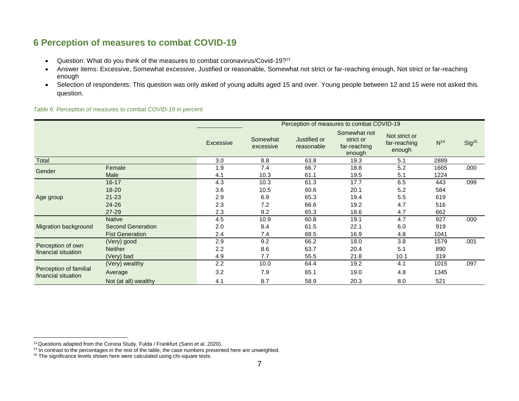# **6 Perception of measures to combat COVID-19**

- Question: What do you think of the measures to combat coronavirus/Covid-19?<sup>13</sup>
- Answer items: Excessive, Somewhat excessive, Justified or reasonable, Somewhat not strict or far-reaching enough, Not strict or far-reaching enough
- Selection of respondents: This question was only asked of young adults aged 15 and over. Young people between 12 and 15 were not asked this question.

*Table 6: Perception of measures to combat COVID-19 in percent*

<span id="page-8-0"></span>

|                                               |                          |           |                       |                            | Perception of measures to combat COVID-19           |                                         |          |                   |
|-----------------------------------------------|--------------------------|-----------|-----------------------|----------------------------|-----------------------------------------------------|-----------------------------------------|----------|-------------------|
|                                               |                          | Excessive | Somewhat<br>excessive | Justified or<br>reasonable | Somewhat not<br>strict or<br>far-reaching<br>enough | Not strict or<br>far-reaching<br>enough | $N^{14}$ | Sig <sup>15</sup> |
| Total                                         |                          | 3.0       | 8.8                   | 63.8                       | 19.3                                                | 5.1                                     | 2889     |                   |
| Gender                                        | Female                   | 1.9       | 7.4                   | 66.7                       | 18.8                                                | 5.2                                     | 1665     | .000              |
|                                               | Male                     | 4.1       | 10.3                  | 61.1                       | 19.5                                                | 5.1                                     | 1224     |                   |
|                                               | $16 - 17$                | 4.3       | 10.3                  | 61.3                       | 17.7                                                | 6.5                                     | 443      | .099              |
|                                               | $18 - 20$                | 3.6       | 10.5                  | 60.6                       | 20.1                                                | 5.2                                     | 584      |                   |
| Age group                                     | $21 - 23$                | 2.9       | 6.9                   | 65.3                       | 19.4                                                | 5.5                                     | 619      |                   |
|                                               | 24-26                    | 2.3       | 7.2                   | 66.6                       | 19.2                                                | 4.7                                     | 516      |                   |
|                                               | 27-29                    | 2.3       | 9.2                   | 65.3                       | 18.6                                                | 4.7                                     | 662      |                   |
|                                               | <b>Native</b>            | 4.5       | 10.9                  | 60.8                       | 19.1                                                | 4.7                                     | 927      | .000              |
| Migration background                          | <b>Second Generation</b> | 2.0       | 8.4                   | 61.5                       | 22.1                                                | 6.0                                     | 919      |                   |
|                                               | <b>Fist Generation</b>   | 2.4       | 7.4                   | 68.5                       | 16.9                                                | 4.8                                     | 1041     |                   |
|                                               | (Very) good              | 2.9       | 9.2                   | 66.2                       | 18.0                                                | 3.8                                     | 1579     | .001              |
| Perception of own                             | <b>Neither</b>           | 2.2       | 8.6                   | 63.7                       | 20.4                                                | 5.1                                     | 890      |                   |
| financial situation                           | (Very) bad               | 4.9       | 7.7                   | 55.5                       | 21.8                                                | 10.1                                    | 319      |                   |
|                                               | (Very) wealthy           | 2.2       | 10.0                  | 64.4                       | 19.2                                                | 4.1                                     | 1015     | .097              |
| Perception of familial<br>financial situation | Average                  | 3.2       | 7.9                   | 65.1                       | 19.0                                                | 4.8                                     | 1345     |                   |
|                                               | Not (at all) wealthy     | 4.1       | 8.7                   | 58.9                       | 20.3                                                | 8.0                                     | 521      |                   |

 $13$  Questions adapted from the Corona Study, Fulda / Frankfurt (Sann et al. 2020).

<sup>&</sup>lt;sup>14</sup> In contrast to the percentages in the rest of the table, the case numbers presented here are unweighted.

 $15$  The significance levels shown here were calculated using chi-square tests.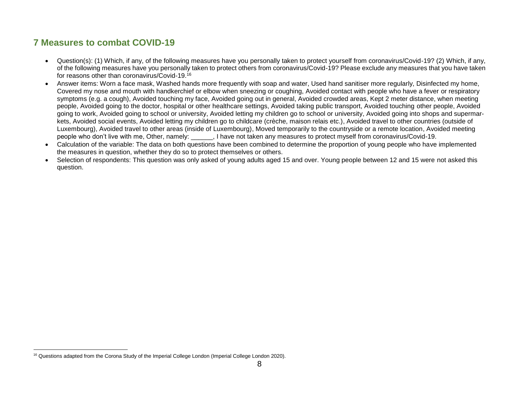# **7 Measures to combat COVID-19**

- Question(s): (1) Which, if any, of the following measures have you personally taken to protect yourself from coronavirus/Covid-19? (2) Which, if any, of the following measures have you personally taken to protect others from coronavirus/Covid-19? Please exclude any measures that you have taken for reasons other than coronavirus/Covid-19. 16
- Answer items: Worn a face mask, Washed hands more frequently with soap and water, Used hand sanitiser more regularly, Disinfected my home, Covered my nose and mouth with handkerchief or elbow when sneezing or coughing, Avoided contact with people who have a fever or respiratory symptoms (e.g. a cough), Avoided touching my face, Avoided going out in general, Avoided crowded areas, Kept 2 meter distance, when meeting people, Avoided going to the doctor, hospital or other healthcare settings, Avoided taking public transport, Avoided touching other people, Avoided going to work, Avoided going to school or university, Avoided letting my children go to school or university, Avoided going into shops and supermarkets, Avoided social events, Avoided letting my children go to childcare (crèche, maison relais etc.), Avoided travel to other countries (outside of Luxembourg), Avoided travel to other areas (inside of Luxembourg), Moved temporarily to the countryside or a remote location, Avoided meeting people who don't live with me, Other, namely: \_\_\_\_\_\_, I have not taken any measures to protect myself from coronavirus/Covid-19.
- Calculation of the variable: The data on both questions have been combined to determine the proportion of young people who have implemented the measures in question, whether they do so to protect themselves or others.
- <span id="page-9-0"></span>• Selection of respondents: This question was only asked of young adults aged 15 and over. Young people between 12 and 15 were not asked this question.

 $\overline{a}$ <sup>16</sup> Questions adapted from the Corona Study of the Imperial College London (Imperial College London 2020).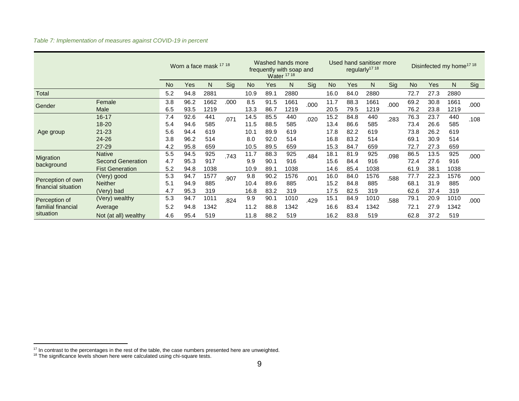*Table 7: Implementation of measures against COVID-19 in percent*

|                                          |                                                                     | Worn a face mask 17 18 |                      |                    |      | Washed hands more<br>frequently with soap and<br><b>Water 17 18</b> |                      |                    | Used hand sanitiser more<br>regularly <sup>17 18</sup> |                      |                      |                    | Disinfected my home <sup>17 18</sup> |                      |                      |                    |      |
|------------------------------------------|---------------------------------------------------------------------|------------------------|----------------------|--------------------|------|---------------------------------------------------------------------|----------------------|--------------------|--------------------------------------------------------|----------------------|----------------------|--------------------|--------------------------------------|----------------------|----------------------|--------------------|------|
|                                          |                                                                     | <b>No</b>              | <b>Yes</b>           | N                  | Sig  | <b>No</b>                                                           | Yes                  | N                  | Sig                                                    | <b>No</b>            | <b>Yes</b>           | N                  | Sig                                  | N <sub>o</sub>       | <b>Yes</b>           | N                  | Sig  |
| <b>Total</b>                             |                                                                     | 5.2                    | 94.8                 | 2881               |      | 10.9                                                                | 89.1                 | 2880               |                                                        | 16.0                 | 84.0                 | 2880               |                                      | 72.7                 | 27.3                 | 2880               |      |
| Gender                                   | Female<br>Male                                                      | 3.8<br>6.5             | 96.2<br>93.5         | 1662<br>1219       | .000 | 8.5<br>13.3                                                         | 91.5<br>86.7         | 1661<br>1219       | .000                                                   | 11.7<br>20.5         | 88.3<br>79.5         | 1661<br>1219       | .000                                 | 69.2<br>76.2         | 30.8<br>23.8         | 1661<br>1219       | .000 |
|                                          | $16 - 17$<br>$18 - 20$                                              | 7.4<br>5.4             | 92.6<br>94.6         | 441<br>585         | .071 | 14.5<br>11.5                                                        | 85.5<br>88.5         | 440<br>585         | .020                                                   | 15.2<br>13.4         | 84.8<br>86.6         | 440<br>585         | .283                                 | 76.3<br>73.4         | 23.7<br>26.6         | 440<br>585         | .108 |
| Age group                                | $21 - 23$<br>$24 - 26$                                              | 5.6<br>3.8             | 94.4<br>96.2         | 619<br>514         |      | 10.1<br>8.0                                                         | 89.9<br>92.0         | 619<br>514         |                                                        | 17.8<br>16.8         | 82.2<br>83.2         | 619<br>514         |                                      | 73.8<br>69.1         | 26.2<br>30.9         | 619<br>514         |      |
|                                          | $27 - 29$                                                           | 4.2                    | 95.8                 | 659                |      | 10.5                                                                | 89.5                 | 659                |                                                        | 15.3                 | 84.7                 | 659                |                                      | 72.7                 | 27.3                 | 659                |      |
| Migration<br>background                  | <b>Native</b><br><b>Second Generation</b><br><b>Fist Generation</b> | 5.5<br>4.7<br>5.2      | 94.5<br>95.3<br>94.8 | 925<br>917<br>1038 | .743 | 11.7<br>9.9<br>10.9                                                 | 88.3<br>90.1<br>89.1 | 925<br>916<br>1038 | .484                                                   | 18.1<br>15.6<br>14.6 | 81.9<br>84.4<br>85.4 | 925<br>916<br>1038 | .098                                 | 86.5<br>72.4<br>61.9 | 13.5<br>27.6<br>38.1 | 925<br>916<br>1038 | .000 |
| Perception of own<br>financial situation | (Very) good<br><b>Neither</b><br>(Very) bad                         | 5.3<br>5.1<br>4.7      | 94.7<br>94.9<br>95.3 | 1577<br>885<br>319 | .907 | 9.8<br>10.4<br>16.8                                                 | 90.2<br>89.6<br>83.2 | 1576<br>885<br>319 | .001                                                   | 16.0<br>15.2<br>17.5 | 84.0<br>84.8<br>82.5 | 1576<br>885<br>319 | .588                                 | 77.7<br>68.1<br>62.6 | 22.3<br>31.9<br>37.4 | 1576<br>885<br>319 | .000 |
| Perception of<br>familial financial      | (Very) wealthy<br>Average                                           | 5.3<br>5.2             | 94.7<br>94.8         | 1011<br>1342       | .824 | 9.9<br>11.2                                                         | 90.1<br>88.8         | 1010<br>1342       | .429                                                   | 15.1<br>16.6         | 84.9<br>83.4         | 1010<br>1342       | .588                                 | 79.1<br>72.1         | 20.9<br>27.9         | 1010<br>1342       | .000 |
| situation                                | Not (at all) wealthy                                                | 4.6                    | 95.4                 | 519                |      | 11.8                                                                | 88.2                 | 519                |                                                        | 16.2                 | 83.8                 | 519                |                                      | 62.8                 | 37.2                 | 519                |      |

 $17$  In contrast to the percentages in the rest of the table, the case numbers presented here are unweighted.

 $18$  The significance levels shown here were calculated using chi-square tests.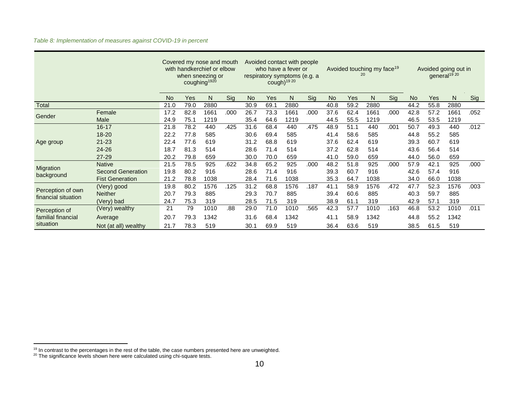|                         |                          | Covered my nose and mouth<br>with handkerchief or elbow<br>when sneezing or<br>coughing <sup>1920</sup> |      |      |      |           | Avoided contact with people<br>who have a fever or<br>respiratory symptoms (e.g. a<br>cough) <sup>19 20</sup> |      |      |           | Avoided touching my face <sup>19</sup><br>20 |      | Avoided going out in<br>general <sup>19 20</sup> |           |            |      |      |
|-------------------------|--------------------------|---------------------------------------------------------------------------------------------------------|------|------|------|-----------|---------------------------------------------------------------------------------------------------------------|------|------|-----------|----------------------------------------------|------|--------------------------------------------------|-----------|------------|------|------|
|                         |                          | <b>No</b>                                                                                               | Yes  | N    | Sig  | <b>No</b> | Yes                                                                                                           | N    | Sig  | <b>No</b> | <b>Yes</b>                                   | N    | Sig                                              | <b>No</b> | <b>Yes</b> | N    | Sig  |
| Total                   |                          | 21.0                                                                                                    | 79.0 | 2880 |      | 30.9      | 69.1                                                                                                          | 2880 |      | 40.8      | 59.2                                         | 2880 |                                                  | 44.2      | 55.8       | 2880 |      |
| Gender                  | Female                   | 17.2                                                                                                    | 82.8 | 1661 | .000 | 26.7      | 73.3                                                                                                          | 1661 | .000 | 37.6      | 62.4                                         | 1661 | .000                                             | 42.8      | 57.2       | 1661 | .052 |
|                         | Male                     | 24.9                                                                                                    | 75.1 | 1219 |      | 35.4      | 64.6                                                                                                          | 1219 |      | 44.5      | 55.5                                         | 1219 |                                                  | 46.5      | 53.5       | 1219 |      |
|                         | $16 - 17$                | 21.8                                                                                                    | 78.2 | 440  | .425 | 31.6      | 68.4                                                                                                          | 440  | .475 | 48.9      | 51.1                                         | 440  | .001                                             | 50.7      | 49.3       | 440  | .012 |
| Age group               | $18 - 20$                | 22.2                                                                                                    | 77.8 | 585  |      | 30.6      | 69.4                                                                                                          | 585  |      | 41.4      | 58.6                                         | 585  |                                                  | 44.8      | 55.2       | 585  |      |
|                         | $21 - 23$                | 22.4                                                                                                    | 77.6 | 619  |      | 31.2      | 68.8                                                                                                          | 619  |      | 37.6      | 62.4                                         | 619  |                                                  | 39.3      | 60.7       | 619  |      |
|                         | 24-26                    | 18.7                                                                                                    | 81.3 | 514  |      | 28.6      | 71.4                                                                                                          | 514  |      | 37.2      | 62.8                                         | 514  |                                                  | 43.6      | 56.4       | 514  |      |
|                         | $27 - 29$                | 20.2                                                                                                    | 79.8 | 659  |      | 30.0      | 70.0                                                                                                          | 659  |      | 41.0      | 59.0                                         | 659  |                                                  | 44.0      | 56.0       | 659  |      |
|                         | <b>Native</b>            | 21.5                                                                                                    | 78.5 | 925  | .622 | 34.8      | 65.2                                                                                                          | 925  | .000 | 48.2      | 51.8                                         | 925  | .000                                             | 57.9      | 42.1       | 925  | .000 |
| Migration<br>background | <b>Second Generation</b> | 19.8                                                                                                    | 80.2 | 916  |      | 28.6      | 71.4                                                                                                          | 916  |      | 39.3      | 60.7                                         | 916  |                                                  | 42.6      | 57.4       | 916  |      |
|                         | <b>Fist Generation</b>   | 21.2                                                                                                    | 78.8 | 1038 |      | 28.4      | 71.6                                                                                                          | 1038 |      | 35.3      | 64.7                                         | 1038 |                                                  | 34.0      | 66.0       | 1038 |      |
| Perception of own       | (Very) good              | 19.8                                                                                                    | 80.2 | 1576 | .125 | 31.2      | 68.8                                                                                                          | 1576 | .187 | 41.1      | 58.9                                         | 1576 | .472                                             | 47.7      | 52.3       | 1576 | .003 |
| financial situation     | <b>Neither</b>           | 20.7                                                                                                    | 79.3 | 885  |      | 29.3      | 70.7                                                                                                          | 885  |      | 39.4      | 60.6                                         | 885  |                                                  | 40.3      | 59.7       | 885  |      |
|                         | (Very) bad               | 24.7                                                                                                    | 75.3 | 319  |      | 28.5      | 71.5                                                                                                          | 319  |      | 38.9      | 61.1                                         | 319  |                                                  | 42.9      | 57.1       | 319  |      |
| Perception of           | (Very) wealthy           | 21                                                                                                      | 79   | 1010 | .88  | 29.0      | 71.0                                                                                                          | 1010 | .565 | 42.3      | 57.7                                         | 1010 | .163                                             | 46.8      | 53.2       | 1010 | .011 |
| familial financial      | Average                  | 20.7                                                                                                    | 79.3 | 1342 |      | 31.6      | 68.4                                                                                                          | 1342 |      | 41.1      | 58.9                                         | 1342 |                                                  | 44.8      | 55.2       | 1342 |      |
| situation               | Not (at all) wealthy     | 21.7                                                                                                    | 78.3 | 519  |      | 30.1      | 69.9                                                                                                          | 519  |      | 36.4      | 63.6                                         | 519  |                                                  | 38.5      | 61.5       | 519  |      |

### *Table 8: Implementation of measures against COVID-19 in percent*

<sup>&</sup>lt;sup>19</sup> In contrast to the percentages in the rest of the table, the case numbers presented here are unweighted.

 $^{20}$  The significance levels shown here were calculated using chi-square tests.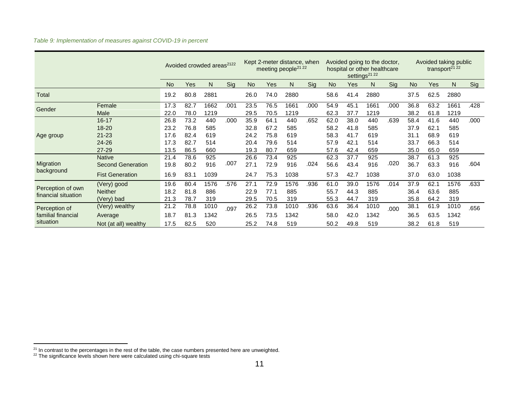|                                 |                          |           |      | Avoided crowded areas <sup>2122</sup> |      | Kept 2-meter distance, when<br>meeting people <sup>21</sup> <sup>22</sup> |      |      |      | Avoided going to the doctor,<br>hospital or other healthcare<br>settings <sup>21</sup> <sup>22</sup> |      |      |      | Avoided taking public<br>transport <sup>21</sup> 22 |            |      |      |
|---------------------------------|--------------------------|-----------|------|---------------------------------------|------|---------------------------------------------------------------------------|------|------|------|------------------------------------------------------------------------------------------------------|------|------|------|-----------------------------------------------------|------------|------|------|
|                                 |                          | <b>No</b> | Yes  | N                                     | Sig  | <b>No</b>                                                                 | Yes  | N    | Sig  | <b>No</b>                                                                                            | Yes  | N    | Sig  | No.                                                 | <b>Yes</b> | N    | Sig  |
| Total                           |                          | 19.2      | 80.8 | 2881                                  |      | 26.0                                                                      | 74.0 | 2880 |      | 58.6                                                                                                 | 41.4 | 2880 |      | 37.5                                                | 62.5       | 2880 |      |
| Gender                          | Female                   | 17.3      | 82.7 | 1662                                  | .001 | 23.5                                                                      | 76.5 | 1661 | .000 | 54.9                                                                                                 | 45.1 | 1661 | .000 | 36.8                                                | 63.2       | 1661 | .428 |
|                                 | Male                     | 22.0      | 78.0 | 1219                                  |      | 29.5                                                                      | 70.5 | 1219 |      | 62.3                                                                                                 | 37.7 | 1219 |      | 38.2                                                | 61.8       | 1219 |      |
|                                 | $16 - 17$                | 26.8      | 73.2 | 440                                   | .000 | 35.9                                                                      | 64.1 | 440  | .652 | 62.0                                                                                                 | 38.0 | 440  | .639 | 58.4                                                | 41.6       | 440  | .000 |
|                                 | $18 - 20$                | 23.2      | 76.8 | 585                                   |      | 32.8                                                                      | 67.2 | 585  |      | 58.2                                                                                                 | 41.8 | 585  |      | 37.9                                                | 62.1       | 585  |      |
| Age group                       | $21 - 23$                | 17.6      | 82.4 | 619                                   |      | 24.2                                                                      | 75.8 | 619  |      | 58.3                                                                                                 | 41.7 | 619  |      | 31.1                                                | 68.9       | 619  |      |
|                                 | 24-26                    | 17.3      | 82.7 | 514                                   |      | 20.4                                                                      | 79.6 | 514  |      | 57.9                                                                                                 | 42.1 | 514  |      | 33.7                                                | 66.3       | 514  |      |
|                                 | 27-29                    | 13.5      | 86.5 | 660                                   |      | 19.3                                                                      | 80.7 | 659  |      | 57.6                                                                                                 | 42.4 | 659  |      | 35.0                                                | 65.0       | 659  |      |
|                                 | <b>Native</b>            | 21.4      | 78.6 | 925                                   |      | 26.6                                                                      | 73.4 | 925  |      | 62.3                                                                                                 | 37.7 | 925  |      | 38.7                                                | 61.3       | 925  |      |
| Migration                       | <b>Second Generation</b> | 19.8      | 80.2 | 916                                   | .007 | 27.1                                                                      | 72.9 | 916  | .024 | 56.6                                                                                                 | 43.4 | 916  | .020 | 36.7                                                | 63.3       | 916  | .604 |
| background                      | <b>Fist Generation</b>   | 16.9      | 83.1 | 1039                                  |      | 24.7                                                                      | 75.3 | 1038 |      | 57.3                                                                                                 | 42.7 | 1038 |      | 37.0                                                | 63.0       | 1038 |      |
| Perception of own               | (Very) good              | 19.6      | 80.4 | 1576                                  | .576 | 27.1                                                                      | 72.9 | 1576 | .936 | 61.0                                                                                                 | 39.0 | 1576 | .014 | 37.9                                                | 62.1       | 1576 | .633 |
|                                 | <b>Neither</b>           | 18.2      | 81.8 | 886                                   |      | 22.9                                                                      | 77.1 | 885  |      | 55.7                                                                                                 | 44.3 | 885  |      | 36.4                                                | 63.6       | 885  |      |
| financial situation             | (Very) bad               | 21.3      | 78.7 | 319                                   |      | 29.5                                                                      | 70.5 | 319  |      | 55.3                                                                                                 | 44.7 | 319  |      | 35.8                                                | 64.2       | 319  |      |
| Perception of                   | (Very) wealthy           | 21.2      | 78.8 | 1010                                  | .097 | 26.2                                                                      | 73.8 | 1010 | .936 | 63.6                                                                                                 | 36.4 | 1010 | .000 | 38.1                                                | 61.9       | 1010 | .656 |
| familial financial<br>situation | Average                  | 18.7      | 81.3 | 1342                                  |      | 26.5                                                                      | 73.5 | 1342 |      | 58.0                                                                                                 | 42.0 | 1342 |      | 36.5                                                | 63.5       | 1342 |      |
|                                 | Not (at all) wealthy     | 17.5      | 82.5 | 520                                   |      | 25.2                                                                      | 74.8 | 519  |      | 50.2                                                                                                 | 49.8 | 519  |      | 38.2                                                | 61.8       | 519  |      |

 $21$  In contrast to the percentages in the rest of the table, the case numbers presented here are unweighted.

 $22$  The significance levels shown here were calculated using chi-square tests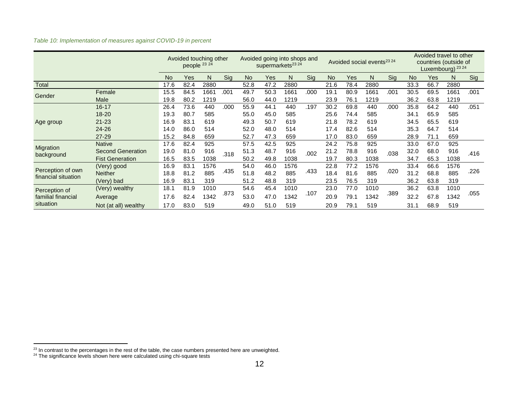| Table 10: Implementation of measures against COVID-19 in percent |  |  |
|------------------------------------------------------------------|--|--|
|                                                                  |  |  |

|                     |                          |           | Avoided touching other<br>people 23 24 |      |      |           |      | Avoided going into shops and<br>supermarkets <sup>23</sup> 24 |      |              |      | Avoided social events <sup>23</sup> 24 |      |           |      | Avoided travel to other<br>countries (outside of<br>Luxembourg) 23 24 |      |
|---------------------|--------------------------|-----------|----------------------------------------|------|------|-----------|------|---------------------------------------------------------------|------|--------------|------|----------------------------------------|------|-----------|------|-----------------------------------------------------------------------|------|
|                     |                          | <b>No</b> | Yes                                    | N    | Sig  | <b>No</b> | Yes  | N                                                             | Sig  | <b>No</b>    | Yes  | N                                      | Sig  | <b>No</b> | Yes  | N                                                                     | Sig  |
| <b>Total</b>        |                          | 17.6      | 82.4                                   | 2880 |      | 52.8      | 47.2 | 2880                                                          |      | 21.6         | 78.4 | 2880                                   |      | 33.3      | 66.7 | 2880                                                                  |      |
| Gender              | Female                   | 15.5      | 84.5                                   | 1661 | .001 | 49.7      | 50.3 | 1661                                                          | .000 | 19.1         | 80.9 | 1661                                   | .001 | 30.5      | 69.5 | 1661                                                                  | .001 |
|                     | Male                     | 19.8      | 80.2                                   | 1219 |      | 56.0      | 44.0 | 1219                                                          |      | 23.9         | 76.1 | 1219                                   |      | 36.2      | 63.8 | 1219                                                                  |      |
|                     | $16 - 17$                | 26.4      | 73.6                                   | 440  | .000 | 55.9      | 44.1 | 440                                                           | .197 | 30.2         | 69.8 | 440                                    | .000 | 35.8      | 64.2 | 440                                                                   | .051 |
|                     | 18-20                    | 19.3      | 80.7                                   | 585  |      | 55.0      | 45.0 | 585                                                           |      | 25.6         | 74.4 | 585                                    |      | 34.1      | 65.9 | 585                                                                   |      |
| Age group           | $21 - 23$                | 16.9      | 83.1                                   | 619  |      | 49.3      | 50.7 | 619                                                           |      | 21.8         | 78.2 | 619                                    |      | 34.5      | 65.5 | 619                                                                   |      |
|                     | $24 - 26$                | 14.0      | 86.0                                   | 514  |      | 52.0      | 48.0 | 514                                                           |      | 17.4         | 82.6 | 514                                    |      | 35.3      | 64.7 | 514                                                                   |      |
|                     | $27 - 29$                | 15.2      | 84.8                                   | 659  |      | 52.7      | 47.3 | 659                                                           |      | 17.0         | 83.0 | 659                                    |      | 28.9      | 71.1 | 659                                                                   |      |
|                     | <b>Native</b>            | 17.6      | 82.4                                   | 925  |      | 57.5      | 42.5 | 925                                                           |      | 24.2         | 75.8 | 925                                    |      | 33.0      | 67.0 | 925                                                                   |      |
| Migration           | <b>Second Generation</b> | 19.0      | 81.0                                   | 916  | .318 | 51.3      | 48.7 | 916                                                           | .002 | 21.2         | 78.8 | 916                                    | .038 | 32.0      | 68.0 | 916                                                                   | .416 |
| background          | <b>Fist Generation</b>   | 16.5      | 83.5                                   | 1038 |      | 50.2      | 49.8 | 1038                                                          |      | 19.7         | 80.3 | 1038                                   |      | 34.7      | 65.3 | 1038                                                                  |      |
|                     | (Very) good              | 16.9      | 83.1                                   | 1576 |      | 54.0      | 46.0 | 1576                                                          |      | 22.8         | 77.2 | 1576                                   |      | 33.4      | 66.6 | 1576                                                                  |      |
| Perception of own   | <b>Neither</b>           | 18.8      | 81.2                                   | 885  | .435 | 51.8      | 48.2 | 885                                                           | .433 | 18.4         | 81.6 | 885                                    | .020 | 31.2      | 68.8 | 885                                                                   | .226 |
| financial situation | (Very) bad               | 16.9      | 83.1                                   | 319  |      | 51.2      | 48.8 | 319                                                           |      | 23.5         | 76.5 | 319                                    |      | 36.2      | 63.8 | 319                                                                   |      |
| Perception of       | (Very) wealthy           | 18.1      | 81.9                                   | 1010 |      | 54.6      | 45.4 | 1010                                                          |      | 23.0         | 77.0 | 1010                                   |      | 36.2      | 63.8 | 1010                                                                  |      |
| familial financial  | Average                  | 17.6      | 82.4                                   | 342  | .873 | 53.0      | 47.0 | 1342                                                          | .107 | 79.1<br>20.9 | 1342 | .389                                   | 32.2 | 67.8      | 1342 | .055                                                                  |      |
| situation           | Not (at all) wealthy     | 17.0      | 83.0                                   | 519  |      | 49.0      | 51.0 | 519                                                           |      | 20.9         | 79.1 | 519                                    |      | 31.1      | 68.9 | 519                                                                   |      |

 $23$  In contrast to the percentages in the rest of the table, the case numbers presented here are unweighted.

<sup>&</sup>lt;sup>24</sup> The significance levels shown here were calculated using chi-square tests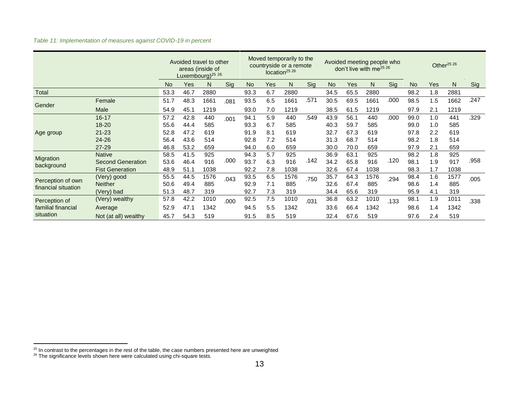*Table 11: Implementation of measures against COVID-19 in percent*

|                                                  |                          |           |      | Avoided travel to other<br>areas (inside of<br>Luxembourg) <sup>25</sup> $26$ |      |           |     | Moved temporarily to the<br>countryside or a remote<br>location <sup>25</sup> 26 |      |      |            | Avoided meeting people who<br>don't live with me <sup>25 26</sup> |      |           |     | Other <sup>25</sup> 26 |      |
|--------------------------------------------------|--------------------------|-----------|------|-------------------------------------------------------------------------------|------|-----------|-----|----------------------------------------------------------------------------------|------|------|------------|-------------------------------------------------------------------|------|-----------|-----|------------------------|------|
|                                                  |                          | <b>No</b> | Yes  | N                                                                             | Sig  | <b>No</b> | Yes | N                                                                                | Sig  | No   | <b>Yes</b> | N                                                                 | Sig  | <b>No</b> | Yes | N                      | Sig  |
| <b>Total</b>                                     |                          | 53.3      | 46.7 | 2880                                                                          |      | 93.3      | 6.7 | 2880                                                                             |      | 34.5 | 65.5       | 2880                                                              |      | 98.2      | 1.8 | 2881                   |      |
|                                                  | Female                   | 51.7      | 48.3 | 1661                                                                          | .081 | 93.5      | 6.5 | 1661                                                                             | .571 | 30.5 | 69.5       | 1661                                                              | .000 | 98.5      | 1.5 | 1662                   | .247 |
| Gender                                           | Male                     | 54.9      | 45.1 | 1219                                                                          |      | 93.0      | 7.0 | 1219                                                                             |      | 38.5 | 61.5       | 1219                                                              |      | 97.9      | 2.1 | 1219                   |      |
|                                                  | $16 - 17$                | 57.2      | 42.8 | 440                                                                           | .001 | 94.1      | 5.9 | 440                                                                              | .549 | 43.9 | 56.1       | 440                                                               | .000 | 99.0      | 1.0 | 441                    | .329 |
|                                                  | 18-20                    | 55.6      | 44.4 | 585                                                                           |      | 93.3      | 6.7 | 585                                                                              |      | 40.3 | 59.7       | 585                                                               |      | 99.0      | 1.0 | 585                    |      |
| Age group                                        | $21 - 23$                | 52.8      | 47.2 | 619                                                                           |      | 91.9      | 8.1 | 619                                                                              |      | 32.7 | 67.3       | 619                                                               |      | 97.8      | 2.2 | 619                    |      |
|                                                  | 24-26                    | 56.4      | 43.6 | 514                                                                           |      | 92.8      | 7.2 | 514                                                                              |      | 31.3 | 68.7       | 514                                                               |      | 98.2      | 1.8 | 514                    |      |
|                                                  | $27 - 29$                | 46.8      | 53.2 | 659                                                                           |      | 94.0      | 6.0 | 659                                                                              |      | 30.0 | 70.0       | 659                                                               |      | 97.9      | 2.1 | 659                    |      |
|                                                  | <b>Native</b>            | 58.5      | 41.5 | 925                                                                           |      | 94.3      | 5.7 | 925                                                                              |      | 36.9 | 63.1       | 925                                                               |      | 98.2      | 1.8 | 925                    |      |
| Migration<br>background                          | <b>Second Generation</b> | 53.6      | 46.4 | 916                                                                           | .000 | 93.7      | 6.3 | 916                                                                              | .142 | 34.2 | 65.8       | 916                                                               | .120 | 98.1      | 1.9 | 917                    | .958 |
|                                                  | <b>Fist Generation</b>   | 48.9      | 51.1 | 1038                                                                          |      | 92.2      | 7.8 | 1038                                                                             |      | 32.6 | 67.4       | 1038                                                              |      | 98.3      | 1.7 | 1038                   |      |
|                                                  | (Very) good              | 55.5      | 44.5 | 1576                                                                          | .043 | 93.5      | 6.5 | 1576                                                                             | .750 | 35.7 | 64.3       | 1576                                                              | .294 | 98.4      | 1.6 | 1577                   | .005 |
| Perception of own                                | <b>Neither</b>           | 50.6      | 49.4 | 885                                                                           |      | 92.9      | 7.1 | 885                                                                              |      | 32.6 | 67.4       | 885                                                               |      | 98.6      | 1.4 | 885                    |      |
| financial situation                              | (Very) bad               | 51.3      | 48.7 | 319                                                                           |      | 92.7      | 7.3 | 319                                                                              |      | 34.4 | 65.6       | 319                                                               |      | 95.9      | 4.1 | 319                    |      |
| Perception of<br>familial financial<br>situation | (Very) wealthy           | 57.8      | 42.2 | 1010                                                                          | .000 | 92.5      | 7.5 | 1010                                                                             | .031 | 36.8 | 63.2       | 1010                                                              | .133 | 98.1      | 1.9 | 1011                   | .338 |
|                                                  | Average                  | 52.9      | 47.1 | 1342                                                                          |      | 94.5      | 5.5 | 1342                                                                             |      | 33.6 | 66.4       | 1342                                                              |      | 98.6      | 1.4 | 1342                   |      |
|                                                  | Not (at all) wealthy     | 45.7      | 54.3 | 519                                                                           |      | 91.5      | 8.5 | 519                                                                              |      | 32.4 | 67.6       | 519                                                               |      | 97.6      | 2.4 | 519                    |      |

 $25$  In contrast to the percentages in the rest of the table, the case numbers presented here are unweighted

 $26$  The significance levels shown here were calculated using chi-square tests.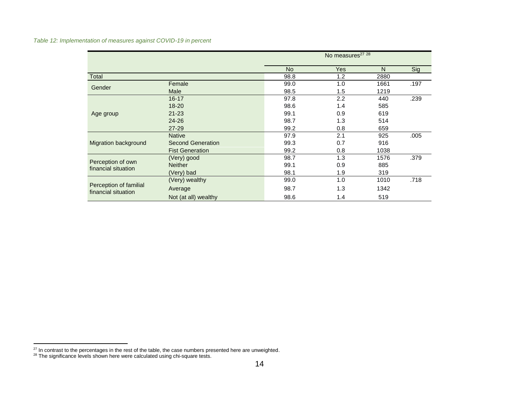*Table 12: Implementation of measures against COVID-19 in percent*

|                                               |                          |           | No measures <sup>27</sup> 28 |      |      |
|-----------------------------------------------|--------------------------|-----------|------------------------------|------|------|
|                                               |                          | <b>No</b> | <b>Yes</b>                   | N    | Sig  |
| Total                                         |                          | 98.8      | 1.2                          | 2880 |      |
| Gender                                        | Female                   | 99.0      | 1.0                          | 1661 | .197 |
|                                               | Male                     | 98.5      | 1.5                          | 1219 |      |
|                                               | $16 - 17$                | 97.8      | 2.2                          | 440  | .239 |
|                                               | $18 - 20$                | 98.6      | 1.4                          | 585  |      |
| Age group                                     | $21 - 23$                | 99.1      | 0.9                          | 619  |      |
|                                               | $24 - 26$                | 98.7      | 1.3                          | 514  |      |
|                                               | $27 - 29$                | 99.2      | 0.8                          | 659  |      |
|                                               | <b>Native</b>            | 97.9      | 2.1                          | 925  | .005 |
| Migration background                          | <b>Second Generation</b> | 99.3      | 0.7                          | 916  |      |
|                                               | <b>Fist Generation</b>   | 99.2      | 0.8                          | 1038 |      |
|                                               | (Very) good              | 98.7      | 1.3                          | 1576 | .379 |
| Perception of own<br>financial situation      | <b>Neither</b>           | 99.1      | 0.9                          | 885  |      |
|                                               | (Very) bad               | 98.1      | 1.9                          | 319  |      |
|                                               | (Very) wealthy           | 99.0      | 1.0                          | 1010 | .718 |
| Perception of familial<br>financial situation | Average                  | 98.7      | 1.3                          | 1342 |      |
|                                               | Not (at all) wealthy     | 98.6      | 1.4                          | 519  |      |

 $27$  In contrast to the percentages in the rest of the table, the case numbers presented here are unweighted.

 $28$  The significance levels shown here were calculated using chi-square tests.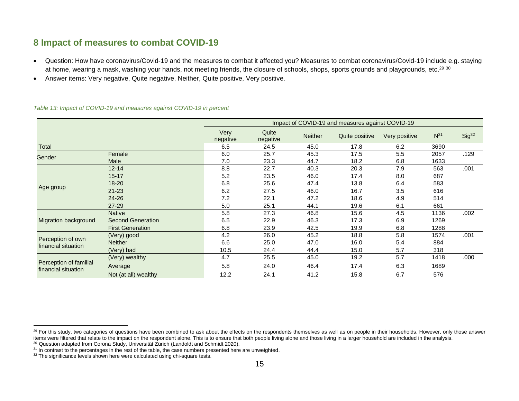## **8 Impact of measures to combat COVID-19**

- Question: How have coronavirus/Covid-19 and the measures to combat it affected you? Measures to combat coronavirus/Covid-19 include e.g. staying at home, wearing a mask, washing your hands, not meeting friends, the closure of schools, shops, sports grounds and playgrounds, etc.<sup>29 30</sup>
- Answer items: Very negative, Quite negative, Neither, Quite positive, Very positive.

<span id="page-16-0"></span>

|                                               |                          |                  |                   |                | Impact of COVID-19 and measures against COVID-19 |               |          |                   |
|-----------------------------------------------|--------------------------|------------------|-------------------|----------------|--------------------------------------------------|---------------|----------|-------------------|
|                                               |                          | Very<br>negative | Quite<br>negative | <b>Neither</b> | Quite positive                                   | Very positive | $N^{31}$ | Sig <sup>32</sup> |
| Total                                         |                          | 6.5              | 24.5              | 45.0           | 17.8                                             | 6.2           | 3690     |                   |
| Gender                                        | Female                   | 6.0              | 25.7              | 45.3           | 17.5                                             | 5.5           | 2057     | .129              |
|                                               | Male                     | 7.0              | 23.3              | 44.7           | 18.2                                             | 6.8           | 1633     |                   |
|                                               | $12 - 14$                | 8.8              | 22.7              | 40.3           | 20.3                                             | 7.9           | 563      | .001              |
|                                               | $15 - 17$                | 5.2              | 23.5              | 46.0           | 17.4                                             | 8.0           | 687      |                   |
|                                               | $18 - 20$                | 6.8              | 25.6              | 47.4           | 13.8                                             | 6.4           | 583      |                   |
| Age group                                     | $21 - 23$                | 6.2              | 27.5              | 46.0           | 16.7                                             | 3.5           | 616      |                   |
|                                               | $24 - 26$                | 7.2              | 22.1              | 47.2           | 18.6                                             | 4.9           | 514      |                   |
|                                               | 27-29                    | 5.0              | 25.1              | 44.1           | 19.6                                             | 6.1           | 661      |                   |
|                                               | <b>Native</b>            | 5.8              | 27.3              | 46.8           | 15.6                                             | 4.5           | 1136     | .002              |
| Migration background                          | <b>Second Generation</b> | 6.5              | 22.9              | 46.3           | 17.3                                             | 6.9           | 1269     |                   |
|                                               | <b>First Generation</b>  | 6.8              | 23.9              | 42.5           | 19.9                                             | 6.8           | 1288     |                   |
|                                               | (Very) good              | 4.2              | 26.0              | 45.2           | 18.8                                             | 5.8           | 1574     | .001              |
| Perception of own<br>financial situation      | <b>Neither</b>           | 6.6              | 25.0              | 47.0           | 16.0                                             | 5.4           | 884      |                   |
|                                               | (Very) bad               | 10.5             | 24.4              | 44.4           | 15.0                                             | 5.7           | 318      |                   |
|                                               | (Very) wealthy           | 4.7              | 25.5              | 45.0           | 19.2                                             | 5.7           | 1418     | .000              |
| Perception of familial<br>financial situation | Average                  | 5.8              | 24.0              | 46.4           | 17.4                                             | 6.3           | 1689     |                   |
|                                               | Not (at all) wealthy     | 12.2             | 24.1              | 41.2           | 15.8                                             | 6.7           | 576      |                   |

*Table 13: Impact of COVID-19 and measures against COVID-19 in percent*

<sup>&</sup>lt;sup>29</sup> For this study, two categories of questions have been combined to ask about the effects on the respondents themselves as well as on people in their households. However, only those answer Items were filtered that relate to the impact on the respondent alone. This is to ensure that both people living alone and those living in a larger household are included in the analysis.

<sup>&</sup>lt;sup>30</sup> Question adapted from Corona Study, Universität Zürich (Landoldt and Schmidt 2020).

<sup>&</sup>lt;sup>31</sup> In contrast to the percentages in the rest of the table, the case numbers presented here are unweighted.

<sup>&</sup>lt;sup>32</sup> The significance levels shown here were calculated using chi-square tests.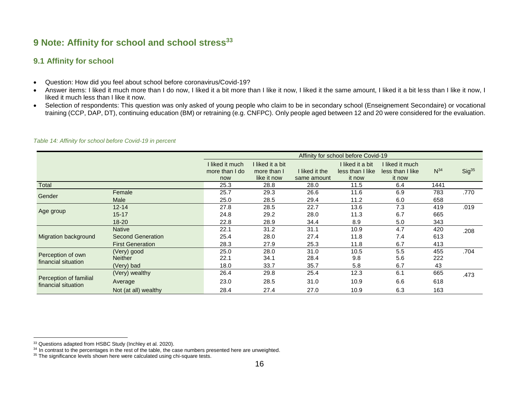## **9 Note: Affinity for school and school stress<sup>33</sup>**

## **9.1 Affinity for school**

- Question: How did you feel about school before coronavirus/Covid-19?
- Answer items: I liked it much more than I do now, I liked it a bit more than I like it now, I liked it the same amount, I liked it a bit less than I like it now, I liked it much less than I like it now.
- Selection of respondents: This question was only asked of young people who claim to be in secondary school (Enseignement Secondaire) or vocational training (CCP, DAP, DT), continuing education (BM) or retraining (e.g. CNFPC). Only people aged between 12 and 20 were considered for the evaluation.

<span id="page-17-1"></span><span id="page-17-0"></span>

|                                               |                          |                                   |                               |                | Affinity for school before Covid-19  |                                     |          |                   |
|-----------------------------------------------|--------------------------|-----------------------------------|-------------------------------|----------------|--------------------------------------|-------------------------------------|----------|-------------------|
|                                               |                          | I liked it much<br>more than I do | liked it a bit<br>more than I | I liked it the | I liked it a bit<br>less than I like | I liked it much<br>less than I like | $N^{34}$ | Sig <sup>35</sup> |
|                                               |                          | now                               | like it now                   | same amount    | it now                               | it now                              |          |                   |
| Total                                         |                          | 25.3                              | 28.8                          | 28.0           | 11.5                                 | 6.4                                 | 1441     |                   |
| Gender                                        | Female                   | 25.7                              | 29.3                          | 26.6           | 11.6                                 | 6.9                                 | 783      | .770              |
|                                               | <b>Male</b>              | 25.0                              | 28.5                          | 29.4           | 11.2                                 | 6.0                                 | 658      |                   |
|                                               | $12 - 14$                | 27.8                              | 28.5                          | 22.7           | 13.6                                 | 7.3                                 | 419      | .019              |
| Age group                                     | $15 - 17$                | 24.8                              | 29.2                          | 28.0           | 11.3                                 | 6.7                                 | 665      |                   |
|                                               | $18 - 20$                | 22.8                              | 28.9                          | 34.4           | 8.9                                  | 5.0                                 | 343      |                   |
|                                               | <b>Native</b>            | 22.1                              | 31.2                          | 31.1           | 10.9                                 | 4.7                                 | 420      | .208              |
| Migration background                          | <b>Second Generation</b> | 25.4                              | 28.0                          | 27.4           | 11.8                                 | 7.4                                 | 613      |                   |
|                                               | <b>First Generation</b>  | 28.3                              | 27.9                          | 25.3           | 11.8                                 | 6.7                                 | 413      |                   |
|                                               | (Very) good              | 25.0                              | 28.0                          | 31.0           | 10.5                                 | 5.5                                 | 455      | .704              |
| Perception of own<br>financial situation      | <b>Neither</b>           | 22.1                              | 34.1                          | 28.4           | 9.8                                  | 5.6                                 | 222      |                   |
|                                               | (Very) bad               | 18.0                              | 33.7                          | 35.7           | 5.8                                  | 6.7                                 | 43       |                   |
|                                               | (Very) wealthy           | 26.4                              | 29.8                          | 25.4           | 12.3                                 | 6.1                                 | 665      | .473              |
| Perception of familial<br>financial situation | Average                  | 23.0                              | 28.5                          | 31.0           | 10.9                                 | 6.6                                 | 618      |                   |
|                                               | Not (at all) wealthy     | 28.4                              | 27.4                          | 27.0           | 10.9                                 | 6.3                                 | 163      |                   |

*Table 14: Affinity for school before Covid-19 in percent*

<sup>&</sup>lt;sup>33</sup> Questions adapted from HSBC Study (Inchley et al. 2020).

 $34$  In contrast to the percentages in the rest of the table, the case numbers presented here are unweighted.

<sup>&</sup>lt;sup>35</sup> The significance levels shown here were calculated using chi-square tests.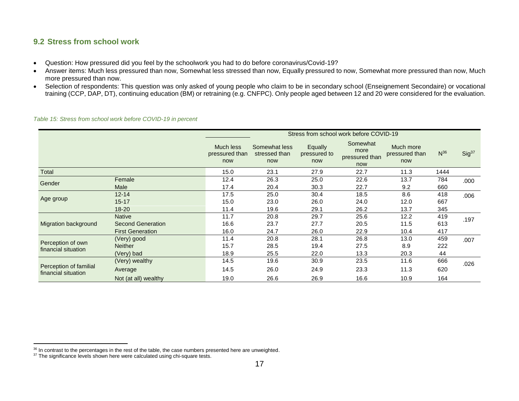## **9.2 Stress from school work**

- Question: How pressured did you feel by the schoolwork you had to do before coronavirus/Covid-19?
- Answer items: Much less pressured than now, Somewhat less stressed than now, Equally pressured to now, Somewhat more pressured than now, Much more pressured than now.
- Selection of respondents: This question was only asked of young people who claim to be in secondary school (Enseignement Secondaire) or vocational training (CCP, DAP, DT), continuing education (BM) or retraining (e.g. CNFPC). Only people aged between 12 and 20 were considered for the evaluation.

<span id="page-18-0"></span>

|                                               |                          |                                    |                                       |                                | Stress from school work before COVID-19   |                                    |          |                   |
|-----------------------------------------------|--------------------------|------------------------------------|---------------------------------------|--------------------------------|-------------------------------------------|------------------------------------|----------|-------------------|
|                                               |                          | Much less<br>pressured than<br>now | Somewhat less<br>stressed than<br>now | Equally<br>pressured to<br>now | Somewhat<br>more<br>pressured than<br>now | Much more<br>pressured than<br>now | $N^{36}$ | Sig <sup>37</sup> |
| Total                                         |                          | 15.0                               | 23.1                                  | 27.9                           | 22.7                                      | 11.3                               | 1444     |                   |
| Gender                                        | Female                   | 12.4                               | 26.3                                  | 25.0                           | 22.6                                      | 13.7                               | 784      | .000              |
|                                               | <b>Male</b>              | 17.4                               | 20.4                                  | 30.3                           | 22.7                                      | 9.2                                | 660      |                   |
|                                               | $12 - 14$                | 17.5                               | 25.0                                  | 30.4                           | 18.5                                      | 8.6                                | 418      | .006              |
| Age group                                     | $15 - 17$                | 15.0                               | 23.0                                  | 26.0                           | 24.0                                      | 12.0                               | 667      |                   |
|                                               | 18-20                    | 11.4                               | 19.6                                  | 29.1                           | 26.2                                      | 13.7                               | 345      |                   |
|                                               | <b>Native</b>            | 11.7                               | 20.8                                  | 29.7                           | 25.6                                      | 12.2                               | 419      | .197              |
| Migration background                          | <b>Second Generation</b> | 16.6                               | 23.7                                  | 27.7                           | 20.5                                      | 11.5                               | 613      |                   |
|                                               | <b>First Generation</b>  | 16.0                               | 24.7                                  | 26.0                           | 22.9                                      | 10.4                               | 417      |                   |
|                                               | (Very) good              | 11.4                               | 20.8                                  | 28.1                           | 26.8                                      | 13.0                               | 459      | .007              |
| Perception of own<br>financial situation      | <b>Neither</b>           | 15.7                               | 28.5                                  | 19.4                           | 27.5                                      | 8.9                                | 222      |                   |
|                                               | (Very) bad               | 18.9                               | 25.5                                  | 22.0                           | 13.3                                      | 20.3                               | 44       |                   |
|                                               | (Very) wealthy           | 14.5                               | 19.6                                  | 30.9                           | 23.5                                      | 11.6                               | 666      | .026              |
| Perception of familial<br>financial situation | Average                  | 14.5                               | 26.0                                  | 24.9                           | 23.3                                      | 11.3                               | 620      |                   |
|                                               | Not (at all) wealthy     | 19.0                               | 26.6                                  | 26.9                           | 16.6                                      | 10.9                               | 164      |                   |

*Table 15: Stress from school work before COVID-19 in percent*

 $36$  In contrast to the percentages in the rest of the table, the case numbers presented here are unweighted.

 $37$  The significance levels shown here were calculated using chi-square tests.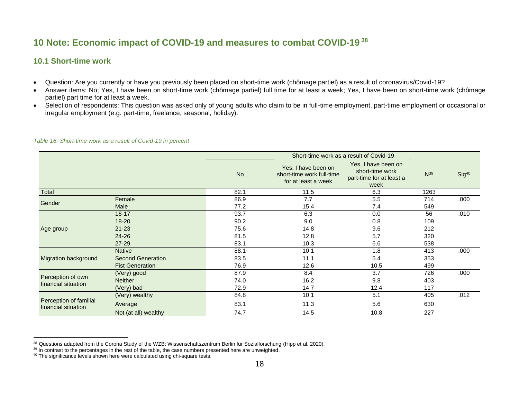## **10 Note: Economic impact of COVID-19 and measures to combat COVID-19 <sup>38</sup>**

## **10.1 Short-time work**

- Question: Are you currently or have you previously been placed on short-time work (chômage partiel) as a result of coronavirus/Covid-19?
- Answer items: No; Yes, I have been on short-time work (chômage partiel) full time for at least a week; Yes, I have been on short-time work (chômage partiel) part time for at least a week.
- Selection of respondents: This question was asked only of young adults who claim to be in full-time employment, part-time employment or occasional or irregular employment (e.g. part-time, freelance, seasonal, holiday).

<span id="page-19-1"></span><span id="page-19-0"></span>

|                                               |                          |           |                                                                         | Short-time work as a result of Covid-19                                    |          |                   |
|-----------------------------------------------|--------------------------|-----------|-------------------------------------------------------------------------|----------------------------------------------------------------------------|----------|-------------------|
|                                               |                          | <b>No</b> | Yes, I have been on<br>short-time work full-time<br>for at least a week | Yes, I have been on<br>short-time work<br>part-time for at least a<br>week | $N^{39}$ | Sig <sup>40</sup> |
| Total                                         |                          | 82.1      | 11.5                                                                    | 6.3                                                                        | 1263     |                   |
| Gender                                        | Female                   | 86.9      | 7.7                                                                     | 5.5                                                                        | 714      | .000              |
|                                               | Male                     | 77.2      | 15.4                                                                    | 7.4                                                                        | 549      |                   |
|                                               | $16 - 17$                | 93.7      | 6.3                                                                     | 0.0                                                                        | 56       | .010              |
|                                               | $18 - 20$                | 90.2      | 9.0                                                                     | 0.8                                                                        | 109      |                   |
| Age group                                     | $21 - 23$                | 75.6      | 14.8                                                                    | 9.6                                                                        | 212      |                   |
|                                               | $24 - 26$                | 81.5      | 12.8                                                                    | 5.7                                                                        | 320      |                   |
|                                               | 27-29                    | 83.1      | 10.3                                                                    | 6.6                                                                        | 538      |                   |
|                                               | <b>Native</b>            | 88.1      | 10.1                                                                    | 1.8                                                                        | 413      | .000              |
| Migration background                          | <b>Second Generation</b> | 83.5      | 11.1                                                                    | 5.4                                                                        | 353      |                   |
|                                               | <b>Fist Generation</b>   | 76.9      | 12.6                                                                    | 10.5                                                                       | 499      |                   |
|                                               | (Very) good              | 87.9      | 8.4                                                                     | 3.7                                                                        | 726      | .000              |
| Perception of own                             | <b>Neither</b>           | 74.0      | 16.2                                                                    | 9.8                                                                        | 403      |                   |
| financial situation                           | (Very) bad               | 72.9      | 14.7                                                                    | 12.4                                                                       | 117      |                   |
|                                               | (Very) wealthy           | 84.8      | 10.1                                                                    | 5.1                                                                        | 405      | .012              |
| Perception of familial<br>financial situation | Average                  | 83.1      | 11.3                                                                    | 5.6                                                                        | 630      |                   |
|                                               | Not (at all) wealthy     | 74.7      | 14.5                                                                    | 10.8                                                                       | 227      |                   |

#### *Table 16: Short-time work as a result of Covid-19 in percent*

<sup>&</sup>lt;sup>38</sup> Questions adapted from the Corona Study of the WZB: Wissenschaftszentrum Berlin für Sozialforschung (Hipp et al. 2020).

 $39$  In contrast to the percentages in the rest of the table, the case numbers presented here are unweighted.

<sup>&</sup>lt;sup>40</sup> The significance levels shown here were calculated using chi-square tests.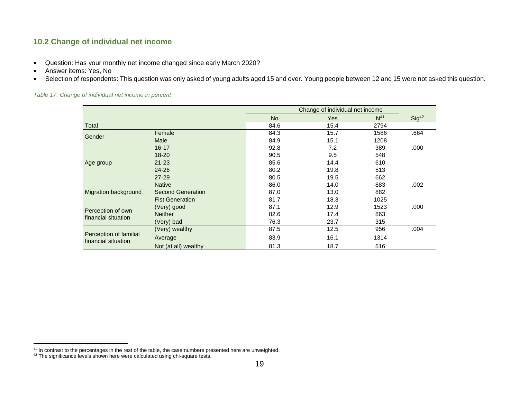## **10.2 Change of individual net income**

- Question: Has your monthly net income changed since early March 2020?
- Answer items: Yes, No
- Selection of respondents: This question was only asked of young adults aged 15 and over. Young people between 12 and 15 were not asked this question.

<span id="page-20-0"></span>

| Table 17: Change of individual net income in percent |  |  |
|------------------------------------------------------|--|--|
|------------------------------------------------------|--|--|

|                                               |                        |           | Change of individual net income |                 |                   |
|-----------------------------------------------|------------------------|-----------|---------------------------------|-----------------|-------------------|
|                                               |                        | <b>No</b> | Yes                             | N <sup>41</sup> | Sig <sup>42</sup> |
| Total                                         |                        | 84.6      | 15.4                            | 2794            |                   |
| Gender                                        | Female                 | 84.3      | 15.7                            | 1586            | .664              |
|                                               | Male                   | 84.9      | 15.1                            | 1208            |                   |
|                                               | $16 - 17$              | 92.8      | 7.2                             | 389             | .000              |
|                                               | $18 - 20$              | 90.5      | 9.5                             | 548             |                   |
| Age group                                     | $21 - 23$              | 85.6      | 14.4                            | 610             |                   |
|                                               | $24 - 26$              | 80.2      | 19.8                            | 513             |                   |
|                                               | $27 - 29$              | 80.5      | 19.5                            | 662             |                   |
|                                               | <b>Native</b>          | 86.0      | 14.0                            | 883             | .002              |
| Migration background                          | Second Generation      | 87.0      | 13.0                            | 882             |                   |
|                                               | <b>Fist Generation</b> | 81.7      | 18.3                            | 1025            |                   |
|                                               | (Very) good            | 87.1      | 12.9                            | 1523            | .000              |
| Perception of own                             | <b>Neither</b>         | 82.6      | 17.4                            | 863             |                   |
| financial situation                           | (Very) bad             | 76.3      | 23.7                            | 315             |                   |
|                                               | (Very) wealthy         | 87.5      | 12.5                            | 956             | .004              |
| Perception of familial<br>financial situation | Average                | 83.9      | 16.1                            | 1314            |                   |
|                                               | Not (at all) wealthy   | 81.3      | 18.7                            | 516             |                   |

<sup>&</sup>lt;sup>41</sup> In contrast to the percentages in the rest of the table, the case numbers presented here are unweighted.

 $42$  The significance levels shown here were calculated using chi-square tests.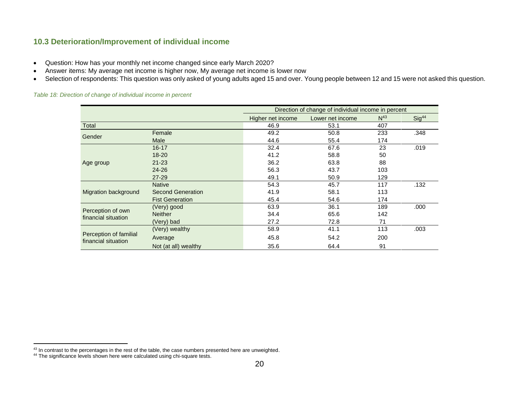## **10.3 Deterioration/Improvement of individual income**

- Question: How has your monthly net income changed since early March 2020?
- Answer items: My average net income is higher now, My average net income is lower now
- Selection of respondents: This question was only asked of young adults aged 15 and over. Young people between 12 and 15 were not asked this question.

#### <span id="page-21-0"></span>*Table 18: Direction of change of individual income in percent*

|                                               |                          |                   | Direction of change of individual income in percent |                 |                   |
|-----------------------------------------------|--------------------------|-------------------|-----------------------------------------------------|-----------------|-------------------|
|                                               |                          | Higher net income | Lower net income                                    | N <sup>43</sup> | Sig <sup>44</sup> |
| Total                                         |                          | 46.9              | 53.1                                                | 407             |                   |
| Gender                                        | Female                   | 49.2              | 50.8                                                | 233             | .348              |
|                                               | Male                     | 44.6              | 55.4                                                | 174             |                   |
|                                               | $16 - 17$                | 32.4              | 67.6                                                | 23              | .019              |
|                                               | $18 - 20$                | 41.2              | 58.8                                                | 50              |                   |
| Age group                                     | $21 - 23$                | 36.2              | 63.8                                                | 88              |                   |
|                                               | $24 - 26$                | 56.3              | 43.7                                                | 103             |                   |
|                                               | 27-29                    | 49.1              | 50.9                                                | 129             |                   |
|                                               | <b>Native</b>            | 54.3              | 45.7                                                | 117             | .132              |
| Migration background                          | <b>Second Generation</b> | 41.9              | 58.1                                                | 113             |                   |
|                                               | <b>Fist Generation</b>   | 45.4              | 54.6                                                | 174             |                   |
|                                               | (Very) good              | 63.9              | 36.1                                                | 189             | .000              |
| Perception of own<br>financial situation      | <b>Neither</b>           | 34.4              | 65.6                                                | 142             |                   |
|                                               | (Very) bad               | 27.2              | 72.8                                                | 71              |                   |
|                                               | (Very) wealthy           | 58.9              | 41.1                                                | 113             | .003              |
| Perception of familial<br>financial situation | Average                  | 45.8              | 54.2                                                | 200             |                   |
|                                               | Not (at all) wealthy     | 35.6              | 64.4                                                | 91              |                   |

 $43$  In contrast to the percentages in the rest of the table, the case numbers presented here are unweighted.

<sup>&</sup>lt;sup>44</sup> The significance levels shown here were calculated using chi-square tests.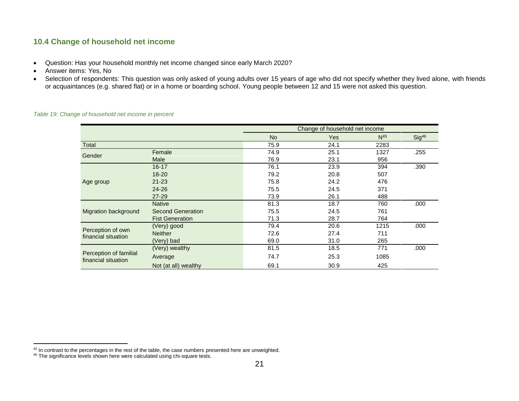## **10.4 Change of household net income**

- Question: Has your household monthly net income changed since early March 2020?
- Answer items: Yes, No
- Selection of respondents: This question was only asked of young adults over 15 years of age who did not specify whether they lived alone, with friends or acquaintances (e.g. shared flat) or in a home or boarding school. Young people between 12 and 15 were not asked this question.

|                                               |                          |           | Change of household net income |                 |                   |
|-----------------------------------------------|--------------------------|-----------|--------------------------------|-----------------|-------------------|
|                                               |                          | <b>No</b> | <b>Yes</b>                     | N <sup>45</sup> | Sig <sup>46</sup> |
| Total                                         |                          | 75.9      | 24.1                           | 2283            |                   |
| Gender                                        | Female                   | 74.9      | 25.1                           | 1327            | .255              |
|                                               | Male                     | 76.9      | 23.1                           | 956             |                   |
|                                               | $16 - 17$                | 76.1      | 23.9                           | 394             | .390              |
|                                               | $18 - 20$                | 79.2      | 20.8                           | 507             |                   |
| Age group                                     | $21 - 23$                | 75.8      | 24.2                           | 476             |                   |
|                                               | $24 - 26$                | 75.5      | 24.5                           | 371             |                   |
|                                               | $27 - 29$                | 73.9      | 26.1                           | 488             |                   |
|                                               | <b>Native</b>            | 81.3      | 18.7                           | 760             | .000              |
| Migration background                          | <b>Second Generation</b> | 75.5      | 24.5                           | 761             |                   |
|                                               | <b>Fist Generation</b>   | 71.3      | 28.7                           | 764             |                   |
|                                               | (Very) good              | 79.4      | 20.6                           | 1215            | .000              |
| Perception of own<br>financial situation      | <b>Neither</b>           | 72.6      | 27.4                           | 711             |                   |
|                                               | (Very) bad               | 69.0      | 31.0                           | 265             |                   |
|                                               | (Very) wealthy           | 81.5      | 18.5                           | 771             | .000              |
| Perception of familial<br>financial situation | Average                  | 74.7      | 25.3                           | 1085            |                   |
|                                               | Not (at all) wealthy     | 69.1      | 30.9                           | 425             |                   |

#### <span id="page-22-0"></span>*Table 19: Change of household net income in percent*

<sup>&</sup>lt;sup>45</sup> In contrast to the percentages in the rest of the table, the case numbers presented here are unweighted.

<sup>&</sup>lt;sup>46</sup> The significance levels shown here were calculated using chi-square tests.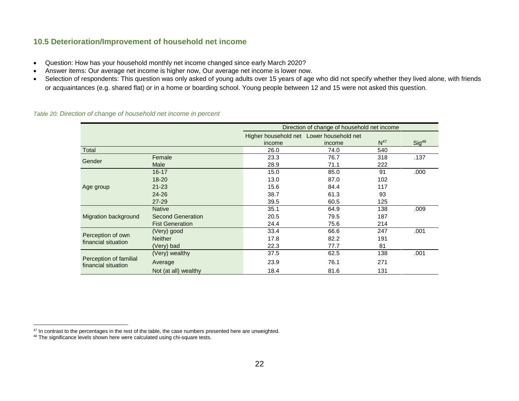## **10.5 Deterioration/Improvement of household net income**

- Question: How has your household monthly net income changed since early March 2020?
- Answer items: Our average net income is higher now, Our average net income is lower now.
- Selection of respondents: This question was only asked of young adults over 15 years of age who did not specify whether they lived alone, with friends or acquaintances (e.g. shared flat) or in a home or boarding school. Young people between 12 and 15 were not asked this question.

|                                               |                          |                                                    | Direction of change of household net income |                 |                   |
|-----------------------------------------------|--------------------------|----------------------------------------------------|---------------------------------------------|-----------------|-------------------|
|                                               |                          | Higher household net Lower household net<br>income | income                                      | N <sup>47</sup> | Sig <sup>48</sup> |
| Total                                         |                          | 26.0                                               | 74.0                                        | 540             |                   |
|                                               | Female                   | 23.3                                               | 76.7                                        | 318             | .137              |
| Gender                                        | Male                     | 28.9                                               | 71.1                                        | 222             |                   |
|                                               | $16 - 17$                | 15.0                                               | 85.0                                        | 91              | .000              |
|                                               | $18 - 20$                | 13.0                                               | 87.0                                        | 102             |                   |
| Age group                                     | $21 - 23$                | 15.6                                               | 84.4                                        | 117             |                   |
|                                               | $24 - 26$                | 38.7                                               | 61.3                                        | 93              |                   |
|                                               | $27 - 29$                | 39.5                                               | 60.5                                        | 125             |                   |
|                                               | <b>Native</b>            | 35.1                                               | 64.9                                        | 138             | .009              |
| Migration background                          | <b>Second Generation</b> | 20.5                                               | 79.5                                        | 187             |                   |
|                                               | <b>Fist Generation</b>   | 24.4                                               | 75.6                                        | 214             |                   |
|                                               | (Very) good              | 33.4                                               | 66.6                                        | 247             | .001              |
| Perception of own<br>financial situation      | <b>Neither</b>           | 17.8                                               | 82.2                                        | 191             |                   |
|                                               | (Very) bad               | 22.3                                               | 77.7                                        | 81              |                   |
|                                               | (Very) wealthy           | 37.5                                               | 62.5                                        | 138             | .001              |
| Perception of familial<br>financial situation | Average                  | 23.9                                               | 76.1                                        | 271             |                   |
|                                               | Not (at all) wealthy     | 18.4                                               | 81.6                                        | 131             |                   |

#### <span id="page-23-0"></span>*Table 20: Direction of change of household net income in percent*

 $47$  In contrast to the percentages in the rest of the table, the case numbers presented here are unweighted.

<sup>&</sup>lt;sup>48</sup> The significance levels shown here were calculated using chi-square tests.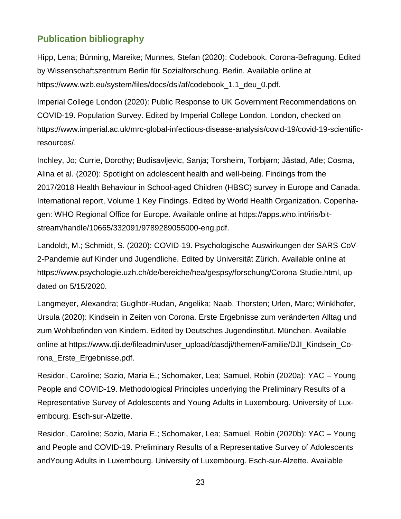## <span id="page-24-0"></span>**Publication bibliography**

Hipp, Lena; Bünning, Mareike; Munnes, Stefan (2020): Codebook. Corona-Befragung. Edited by Wissenschaftszentrum Berlin für Sozialforschung. Berlin. Available online at https://www.wzb.eu/system/files/docs/dsi/af/codebook\_1.1\_deu\_0.pdf.

Imperial College London (2020): Public Response to UK Government Recommendations on COVID-19. Population Survey. Edited by Imperial College London. London, checked on https://www.imperial.ac.uk/mrc-global-infectious-disease-analysis/covid-19/covid-19-scientificresources/.

Inchley, Jo; Currie, Dorothy; Budisavljevic, Sanja; Torsheim, Torbjørn; Jåstad, Atle; Cosma, Alina et al. (2020): Spotlight on adolescent health and well-being. Findings from the 2017/2018 Health Behaviour in School-aged Children (HBSC) survey in Europe and Canada. International report, Volume 1 Key Findings. Edited by World Health Organization. Copenhagen: WHO Regional Office for Europe. Available online at https://apps.who.int/iris/bitstream/handle/10665/332091/9789289055000-eng.pdf.

Landoldt, M.; Schmidt, S. (2020): COVID-19. Psychologische Auswirkungen der SARS-CoV-2-Pandemie auf Kinder und Jugendliche. Edited by Universität Zürich. Available online at https://www.psychologie.uzh.ch/de/bereiche/hea/gespsy/forschung/Corona-Studie.html, updated on 5/15/2020.

Langmeyer, Alexandra; Guglhör-Rudan, Angelika; Naab, Thorsten; Urlen, Marc; Winklhofer, Ursula (2020): Kindsein in Zeiten von Corona. Erste Ergebnisse zum veränderten Alltag und zum Wohlbefinden von Kindern. Edited by Deutsches Jugendinstitut. München. Available online at https://www.dji.de/fileadmin/user\_upload/dasdji/themen/Familie/DJI\_Kindsein\_Corona\_Erste\_Ergebnisse.pdf.

Residori, Caroline; Sozio, Maria E.; Schomaker, Lea; Samuel, Robin (2020a): YAC – Young People and COVID-19. Methodological Principles underlying the Preliminary Results of a Representative Survey of Adolescents and Young Adults in Luxembourg. University of Luxembourg. Esch-sur-Alzette.

Residori, Caroline; Sozio, Maria E.; Schomaker, Lea; Samuel, Robin (2020b): YAC – Young and People and COVID-19. Preliminary Results of a Representative Survey of Adolescents andYoung Adults in Luxembourg. University of Luxembourg. Esch-sur-Alzette. Available

23